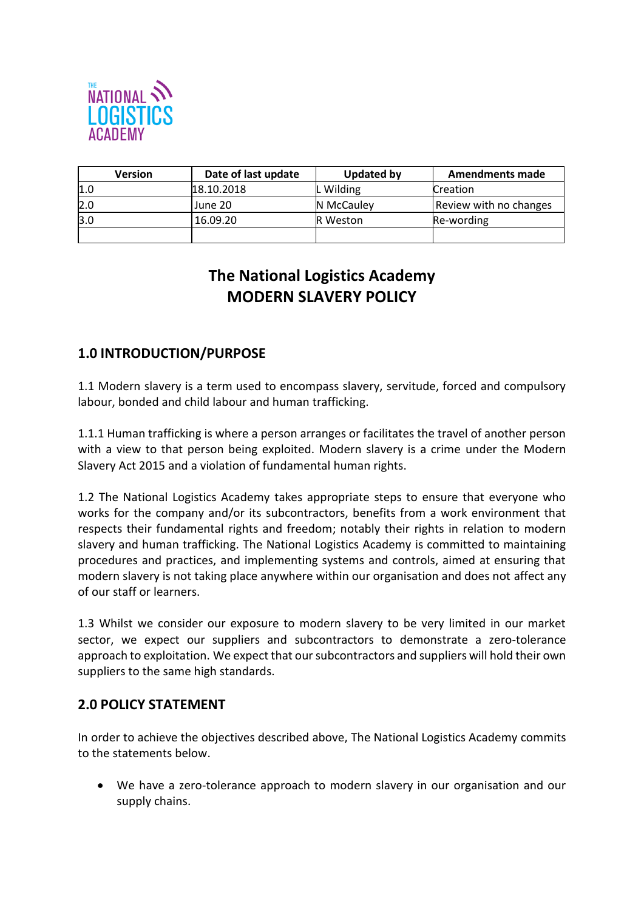

| <b>Version</b> | Date of last update | Updated by      | <b>Amendments made</b> |
|----------------|---------------------|-----------------|------------------------|
| 1.0            | 18.10.2018          | L Wilding       | Creation               |
| 2.0            | June 20             | N McCauley      | Review with no changes |
| 3.0            | 16.09.20            | <b>R</b> Weston | Re-wording             |
|                |                     |                 |                        |

## **The National Logistics Academy MODERN SLAVERY POLICY**

## **1.0 INTRODUCTION/PURPOSE**

1.1 Modern slavery is a term used to encompass slavery, servitude, forced and compulsory labour, bonded and child labour and human trafficking.

1.1.1 Human trafficking is where a person arranges or facilitates the travel of another person with a view to that person being exploited. Modern slavery is a crime under the Modern Slavery Act 2015 and a violation of fundamental human rights.

1.2 The National Logistics Academy takes appropriate steps to ensure that everyone who works for the company and/or its subcontractors, benefits from a work environment that respects their fundamental rights and freedom; notably their rights in relation to modern slavery and human trafficking. The National Logistics Academy is committed to maintaining procedures and practices, and implementing systems and controls, aimed at ensuring that modern slavery is not taking place anywhere within our organisation and does not affect any of our staff or learners.

1.3 Whilst we consider our exposure to modern slavery to be very limited in our market sector, we expect our suppliers and subcontractors to demonstrate a zero-tolerance approach to exploitation. We expect that our subcontractors and suppliers will hold their own suppliers to the same high standards.

## **2.0 POLICY STATEMENT**

In order to achieve the objectives described above, The National Logistics Academy commits to the statements below.

 We have a zero-tolerance approach to modern slavery in our organisation and our supply chains.